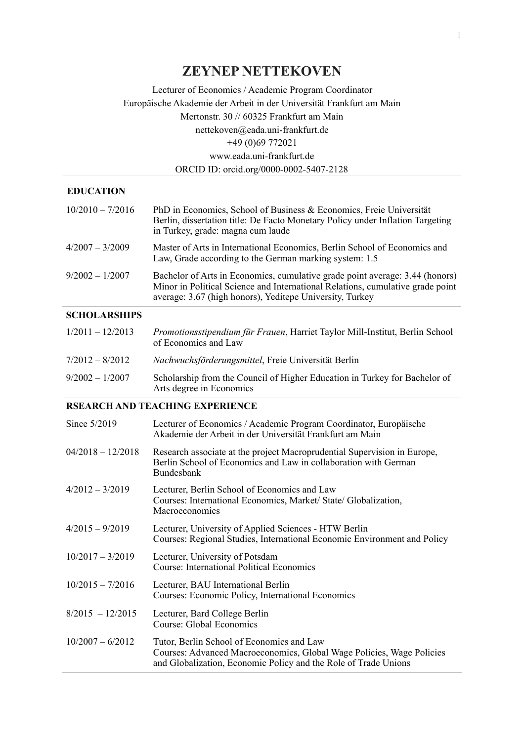# **ZEYNEP NETTEKOVEN**

# Lecturer of Economics / Academic Program Coordinator Europäische Akademie der Arbeit in der Universität Frankfurt am Main Mertonstr. 30 // 60325 Frankfurt am Main nettekoven@eada.uni-frankfurt.de +49 (0)69 772021 www.eada.uni-frankfurt.de ORCID ID: [orcid.org/0000-0002-5407-2128](https://orcid.org/0000-0002-5407-2128)

### **EDUCATION**

| $10/2010 - 7/2016$ | PhD in Economics, School of Business & Economics, Freie Universität<br>Berlin, dissertation title: De Facto Monetary Policy under Inflation Targeting<br>in Turkey, grade: magna cum laude                                 |
|--------------------|----------------------------------------------------------------------------------------------------------------------------------------------------------------------------------------------------------------------------|
| $4/2007 - 3/2009$  | Master of Arts in International Economics, Berlin School of Economics and<br>Law, Grade according to the German marking system: 1.5                                                                                        |
| $9/2002 - 1/2007$  | Bachelor of Arts in Economics, cumulative grade point average: 3.44 (honors)<br>Minor in Political Science and International Relations, cumulative grade point<br>average: 3.67 (high honors), Yeditepe University, Turkey |

# **SCHOLARSHIPS**

| $1/2011 - 12/2013$ | Promotionsstipendium für Frauen, Harriet Taylor Mill-Institut, Berlin School<br>of Economics and Law   |
|--------------------|--------------------------------------------------------------------------------------------------------|
| $7/2012 - 8/2012$  | Nachwuchsförderungsmittel, Freie Universität Berlin                                                    |
| $9/2002 - 1/2007$  | Scholarship from the Council of Higher Education in Turkey for Bachelor of<br>Arts degree in Economics |

### **RSEARCH AND TEACHING EXPERIENCE**

| Since 5/2019        | Lecturer of Economics / Academic Program Coordinator, Europäische<br>Akademie der Arbeit in der Universität Frankfurt am Main                                                         |
|---------------------|---------------------------------------------------------------------------------------------------------------------------------------------------------------------------------------|
| $04/2018 - 12/2018$ | Research associate at the project Macroprudential Supervision in Europe,<br>Berlin School of Economics and Law in collaboration with German<br><b>Bundesbank</b>                      |
| $4/2012 - 3/2019$   | Lecturer, Berlin School of Economics and Law<br>Courses: International Economics, Market/ State/ Globalization,<br>Macroeconomics                                                     |
| $4/2015 - 9/2019$   | Lecturer, University of Applied Sciences - HTW Berlin<br>Courses: Regional Studies, International Economic Environment and Policy                                                     |
| $10/2017 - 3/2019$  | Lecturer, University of Potsdam<br><b>Course: International Political Economics</b>                                                                                                   |
| $10/2015 - 7/2016$  | Lecturer, BAU International Berlin<br>Courses: Economic Policy, International Economics                                                                                               |
| $8/2015 - 12/2015$  | Lecturer, Bard College Berlin<br>Course: Global Economics                                                                                                                             |
| $10/2007 - 6/2012$  | Tutor, Berlin School of Economics and Law<br>Courses: Advanced Macroeconomics, Global Wage Policies, Wage Policies<br>and Globalization, Economic Policy and the Role of Trade Unions |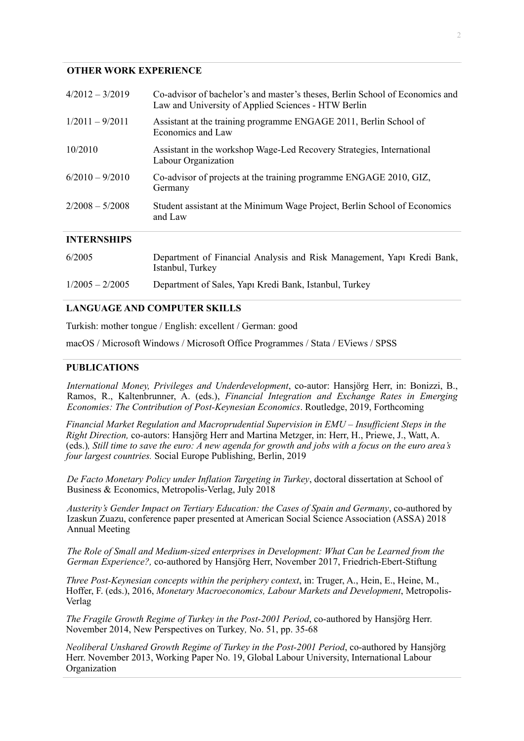#### **OTHER WORK EXPERIENCE**

| $4/2012 - 3/2019$  | Co-advisor of bachelor's and master's theses, Berlin School of Economics and<br>Law and University of Applied Sciences - HTW Berlin |
|--------------------|-------------------------------------------------------------------------------------------------------------------------------------|
| $1/2011 - 9/2011$  | Assistant at the training programme ENGAGE 2011, Berlin School of<br>Economics and Law                                              |
| 10/2010            | Assistant in the workshop Wage-Led Recovery Strategies, International<br>Labour Organization                                        |
| $6/2010 - 9/2010$  | Co-advisor of projects at the training programme ENGAGE 2010, GIZ,<br>Germany                                                       |
| $2/2008 - 5/2008$  | Student assistant at the Minimum Wage Project, Berlin School of Economics<br>and Law                                                |
| <b>INTERNSHIPS</b> |                                                                                                                                     |
| 6/2005             | Department of Financial Analysis and Risk Management, Yapı Kredi Bank,<br>Istanbul, Turkey                                          |

#### 1/2005 – 2/2005 Department of Sales, Yapı Kredi Bank, Istanbul, Turkey

### **LANGUAGE AND COMPUTER SKILLS**

Turkish: mother tongue / English: excellent / German: good

macOS / Microsoft Windows / Microsoft Office Programmes / Stata / EViews / SPSS

#### **PUBLICATIONS**

*International Money, Privileges and Underdevelopment*, co-autor: Hansjörg Herr, in: Bonizzi, B., Ramos, R., Kaltenbrunner, A. (eds.), *Financial Integration and Exchange Rates in Emerging Economies: The Contribution of Post-Keynesian Economics*. Routledge, 2019, Forthcoming

*Financial Market Regulation and Macroprudential Supervision in EMU – Insufficient Steps in the Right Direction,* co-autors: Hansjörg Herr and Martina Metzger, in: Herr, H., Priewe, J., Watt, A. (eds.)*, Still time to save the euro: A new agenda for growth and jobs with a focus on the euro area's four largest countries.* Social Europe Publishing, Berlin, 2019

*De Facto Monetary Policy under Inflation Targeting in Turkey*, doctoral dissertation at School of Business & Economics, Metropolis-Verlag, July 2018

*Austerity's Gender Impact on Tertiary Education: the Cases of Spain and Germany*, co-authored by Izaskun Zuazu, conference paper presented at American Social Science Association (ASSA) 2018 Annual Meeting

*The Role of Small and Medium-sized enterprises in Development: What Can be Learned from the German Experience?,* co-authored by Hansjörg Herr, November 2017, Friedrich-Ebert-Stiftung

*Three Post-Keynesian concepts within the periphery context*, in: Truger, A., Hein, E., Heine, M., Hoffer, F. (eds.), 2016, *Monetary Macroeconomics, Labour Markets and Development*, Metropolis-Verlag

*The Fragile Growth Regime of Turkey in the Post-2001 Period*, co-authored by Hansjörg Herr. November 2014, New Perspectives on Turkey*,* No. 51, pp. 35-68

*Neoliberal Unshared Growth Regime of Turkey in the Post-2001 Period*, co-authored by Hansjörg Herr. November 2013, Working Paper No. 19, Global Labour University, International Labour Organization